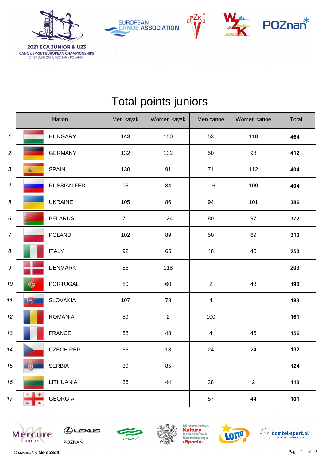

**CANOE SPRINT EUROPEAN CHAMPIONSHIPS**<br>24-27 JUNE 2021, POZNAN / POLAND

**EUROPEAN CANOE ASSOCIATION** 





## Total points juniors

|                            |                          | Nation          | Men kayak | Women kayak | Men canoe      | Women canoe | Total |
|----------------------------|--------------------------|-----------------|-----------|-------------|----------------|-------------|-------|
| $\boldsymbol{\mathcal{I}}$ |                          | <b>HUNGARY</b>  | 143       | 150         | 53             | 118         | 464   |
| $\overline{c}$             |                          | <b>GERMANY</b>  | 132       | 132         | 50             | 98          | 412   |
| 3                          | 高                        | <b>SPAIN</b>    | 130       | 91          | 71             | 112         | 404   |
| $\boldsymbol{4}$           |                          | RUSSIAN FED.    | 95        | 84          | 116            | 109         | 404   |
| 5                          |                          | <b>UKRAINE</b>  | 105       | 86          | 94             | 101         | 386   |
| 6                          |                          | <b>BELARUS</b>  | 71        | 124         | 80             | 97          | 372   |
| $\boldsymbol{7}$           |                          | <b>POLAND</b>   | 102       | 89          | 50             | 69          | 310   |
| 8                          |                          | <b>ITALY</b>    | 92        | 65          | 48             | 45          | 250   |
| $\boldsymbol{9}$           |                          | <b>DENMARK</b>  | 85        | 118         |                |             | 203   |
| 10                         | 0                        | <b>PORTUGAL</b> | 80        | 60          | $\overline{2}$ | 48          | 190   |
| 11                         | 电                        | <b>SLOVAKIA</b> | 107       | 78          | 4              |             | 189   |
| $12 \,$                    |                          | <b>ROMANIA</b>  | 59        | $\sqrt{2}$  | 100            |             | 161   |
| 13                         |                          | <b>FRANCE</b>   | 58        | 48          | 4              | 46          | 156   |
| 14                         |                          | CZECH REP.      | 66        | 18          | 24             | 24          | 132   |
| 15                         | 第                        | <b>SERBIA</b>   | 39        | 85          |                |             | 124   |
| 16                         |                          | LITHUANIA       | 36        | 44          | 28             | $\sqrt{2}$  | 110   |
| $17 \,$                    | $+$<br>$+$<br>$+$<br>$+$ | <b>GEORGIA</b>  |           |             | 57             | 44          | 101   |